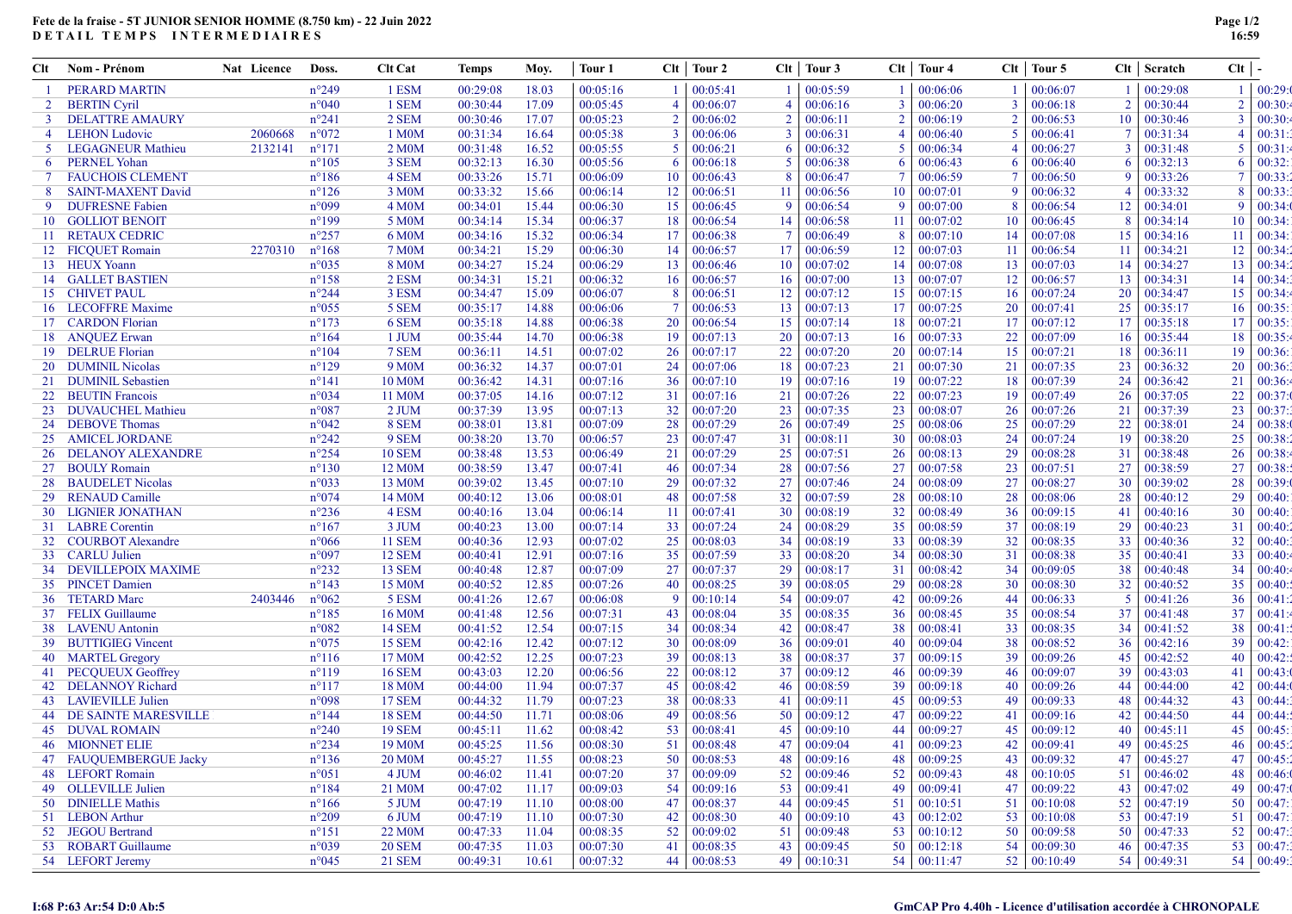## Fete de la fraise - 5T JUNIOR SENIOR HOMME (8.750 km) - 22 Juin 2022 DETAIL TEMPS INTERMEDIAIRES

| Clt.           | <b>Nom - Prénom</b>            | Nat Licence | Doss.           | <b>Clt Cat</b>                 | <b>Temps</b>         | Moy.           | Tour 1               | Clt            | Tour 2               | Clt            | Tour 3          |    | Clt   Tour 4       | Clt                     | Tour 5               |                | $Clt$ Scratch | $Clt$   -       |                  |
|----------------|--------------------------------|-------------|-----------------|--------------------------------|----------------------|----------------|----------------------|----------------|----------------------|----------------|-----------------|----|--------------------|-------------------------|----------------------|----------------|---------------|-----------------|------------------|
|                | PERARD MARTIN                  |             | $n^{\circ}249$  | 1 ESM                          | 00:29:08             | 18.03          | 00:05:16             | -1             | 00:05:41             | -1             | 00:05:59        | -1 | 00:06:06           |                         | 00:06:07             | $\mathbf{1}$   | 00:29:08      |                 | $1 \mid 00:29:0$ |
| $\overline{2}$ | <b>BERTIN</b> Cyril            |             | $n^{\circ}040$  | 1 SEM                          | 00:30:44             | 17.09          | 00:05:45             | $\overline{4}$ | 00:06:07             | $\overline{4}$ | 00:06:16        | 3  | 00:06:20           | 3                       | 00:06:18             | $\overline{2}$ | 00:30:44      | $\overline{2}$  | 00:30:           |
|                | <b>DELATTRE AMAURY</b>         |             | $n^{\circ}241$  | 2 SEM                          | 00:30:46             | 17.07          | 00:05:23             | $\overline{2}$ | 00:06:02             | $\overline{2}$ | 00:06:11        |    | 00:06:19           | $\overline{2}$          | 00:06:53             | 10             | 00:30:46      | $\overline{3}$  | 00:30:           |
| 4              | <b>LEHON Ludovic</b>           | 2060668     | $n^{\circ}072$  | 1 M0M                          | 00:31:34             | 16.64          | 00:05:38             | 3              | 00:06:06             | $\overline{3}$ | 00:06:31        |    | 00:06:40           | $\overline{\mathbf{5}}$ | 00:06:41             | 7              | 00:31:34      | $\overline{4}$  | 00:31:           |
| 5              | LEGAGNEUR Mathieu              | 2132141     | $n^{\circ}171$  | 2 M <sub>0</sub> M             | 00:31:48             | 16.52          | 00:05:55             | 5              | 00:06:21             | -6             | 00:06:32        | -5 | 00:06:34           |                         | 00:06:27             | 3              | 00:31:48      | -5              | 00:31:           |
| 6              | <b>PERNEL Yohan</b>            |             | $n^{\circ}105$  | 3 SEM                          | 00:32:13             | 16.30          | 00:05:56             | 6              | 00:06:18             | $\overline{5}$ | 00:06:38        | 6  | 00:06:43           | 6                       | 00:06:40             | 6              | 00:32:13      | -6              | 00:32:           |
| $\tau$         | <b>FAUCHOIS CLEMENT</b>        |             | $n^{\circ}186$  | 4 SEM                          | 00:33:26             | 15.71          | 00:06:09             | 10             | 00:06:43             | -8             | 00:06:47        | 7  | 00:06:59           | 7                       | 00:06:50             | 9              | 00:33:26      | -7              | 00:33:           |
| 8              | <b>SAINT-MAXENT David</b>      |             | $n^{\circ}126$  | 3 M <sub>0</sub> M             | 00:33:32             | 15.66          | 00:06:14             | 12             | 00:06:51             | 11             | 00:06:56        | 10 | 00:07:01           | 9                       | 00:06:32             | $\overline{4}$ | 00:33:32      | -8              | 00:33:           |
| 9              | <b>DUFRESNE Fabien</b>         |             | n°099           | 4 M <sub>0</sub> M             | 00:34:01             | 15.44          | 00:06:30             | 15             | 00:06:45             | -9             | 00:06:54        | 9  | 00:07:00           | 8                       | 00:06:54             | 12             | 00:34:01      | -9              | 00:34:           |
| 10             | <b>GOLLIOT BENOIT</b>          |             | $n^{\circ}199$  | 5 M <sub>0</sub> M             | 00:34:14             | 15.34          | 00:06:37             | 18             | 00:06:54             | 14             | 00:06:58        | 11 | 00:07:02           | 10                      | 00:06:45             | 8              | 00:34:14      | 10              | 00:34:           |
| -11            | <b>RETAUX CEDRIC</b>           |             | $n^{\circ}257$  | 6 M0M                          | 00:34:16             | 15.32          | 00:06:34             | -17            | 00:06:38             | -7             | 00:06:49        | 8  | 00:07:10           | 14                      | 00:07:08             | 15             | 00:34:16      | 11              | 00:34:           |
|                | 12 FICQUET Romain              | 2270310     | $n^{\circ}168$  | <b>7 M0M</b>                   | 00:34:21             | 15.29          | 00:06:30             | 14             | 00:06:57             | 17             | 00:06:59        | 12 | 00:07:03           | -11                     | 00:06:54             | 11             | 00:34:21      | 12              | 00:34:           |
|                | 13 HEUX Yoann                  |             | $n^{\circ}035$  | 8 M <sub>0</sub> M             | 00:34:27             | 15.24          | 00:06:29             | 13             | 00:06:46             | 10             | 00:07:02        | 14 | 00:07:08           | 13                      | 00:07:03             | 14             | 00:34:27      | 13              | 00:34:           |
| 14             | <b>GALLET BASTIEN</b>          |             | $n^{\circ}158$  | 2 ESM                          | 00:34:31             | 15.21          | 00:06:32             | 16             | 00:06:57             | 16             | 00:07:00        | 13 | 00:07:07           | 12                      | 00:06:57             | 13             | 00:34:31      | 14              | 00:34:           |
| 15             | <b>CHIVET PAUL</b>             |             | $n^{\circ}244$  | 3 ESM                          | 00:34:47             | 15.09          | 00:06:07             | 8              | 00:06:51             | 12             | 00:07:12        | 15 | 00:07:15           | 16                      | 00:07:24             | 20             | 00:34:47      | 15              | 00:34:           |
| 16             | <b>LECOFFRE Maxime</b>         |             | $n^{\circ}055$  | 5 SEM                          | 00:35:17             | 14.88          | 00:06:06             | $\overline{7}$ | 00:06:53             | 13             | 00:07:13        | 17 | 00:07:25           | 20                      | 00:07:41             | 25             | 00:35:17      | 16              | 00:35:           |
|                | 17 CARDON Florian              |             | $n^{\circ}173$  | 6 SEM                          | 00:35:18             | 14.88          | 00:06:38             | 20             | 00:06:54             | 15             | 00:07:14        | 18 | 00:07:21           | 17                      | 00:07:12             | 17             | 00:35:18      | 17              | 00:35:           |
| 18             | <b>ANQUEZ Erwan</b>            |             | $n^{\circ}164$  | 1 JUM                          | 00:35:44             | 14.70          | 00:06:38             | 19             | 00:07:13             | 20             | 00:07:13        | 16 | 00:07:33           | 22                      | 00:07:09             | 16             | 00:35:44      | 18              | 00:35:           |
| 19             | <b>DELRUE</b> Florian          |             | $n^{\circ}104$  | 7 SEM                          | 00:36:11             | 14.51          | 00:07:02             | 26             | 00:07:17             | 22             | 00:07:20        | 20 | 00:07:14           | 15                      | 00:07:21             | 18             | 00:36:11      | 19              | 00:36:           |
| 20             | <b>DUMINIL Nicolas</b>         |             | $n^{\circ}129$  | 9 M <sub>0</sub> M             | 00:36:32             | 14.37          | 00:07:01             | 24             | 00:07:06             | 18             | 00:07:23        | 21 | 00:07:30           | 21                      | 00:07:35             | 23             | 00:36:32      | 20              | 00:36:           |
| 21             |                                |             | $n^{\circ}141$  |                                |                      | 14.31          |                      | 36             |                      | 19             | 00:07:16        | 19 | 00:07:22           | 18                      |                      | 24             | 00:36:42      | 21              | 00:36:           |
|                | <b>DUMINIL Sebastien</b>       |             | n°034           | 10 M <sub>0</sub> M            | 00:36:42             |                | 00:07:16<br>00:07:12 | 31             | 00:07:10             | 21             | 00:07:26        |    | 00:07:23           | 19                      | 00:07:39             | 26             | 00:37:05      |                 | 00:37:           |
|                | 22 BEUTIN Francois             |             | $n^{\circ}087$  | 11 M <sub>0</sub> M<br>$2$ JUM | 00:37:05<br>00:37:39 | 14.16<br>13.95 | 00:07:13             |                | 00:07:16<br>00:07:20 |                | 00:07:35        | 22 | 00:08:07           |                         | 00:07:49<br>00:07:26 |                | 00:37:39      | 22              | 00:37:           |
| 23             | DUVAUCHEL Mathieu              |             |                 |                                |                      |                |                      | 32             |                      | 23             |                 | 23 |                    | 26                      |                      | 21             |               | 23              |                  |
|                | 24 DEBOVE Thomas               |             | $n^{\circ}042$  | 8 SEM                          | 00:38:01             | 13.81          | 00:07:09             | 28             | 00:07:29             | 26             | 00:07:49        | 25 | 00:08:06           | 25                      | 00:07:29             | 22             | 00:38:01      | 24              | 00:38:           |
| 25             | <b>AMICEL JORDANE</b>          |             | $n^{\circ}242$  | 9 SEM                          | 00:38:20             | 13.70          | 00:06:57             | 23             | 00:07:47             | 31             | 00:08:11        | 30 | 00:08:03           | 24                      | 00:07:24             | 19             | 00:38:20      | 25              | 00:38:           |
| 26             | <b>DELANOY ALEXANDRE</b>       |             | $n^{\circ}254$  | <b>10 SEM</b>                  | 00:38:48             | 13.53          | 00:06:49             | 21             | 00:07:29             | 25             | 00:07:51        | 26 | 00:08:13           | 29                      | 00:08:28             | 31             | 00:38:48      | 26              | 00:38:           |
| 27             | <b>BOULY Romain</b>            |             | $n^{\circ}130$  | 12 M <sub>0</sub> M            | 00:38:59             | 13.47          | 00:07:41             | 46             | 00:07:34             | 28             | 00:07:56        | 27 | 00:07:58           | 23                      | 00:07:51             | 27             | 00:38:59      | 27              | 00:38:           |
| 28             | <b>BAUDELET Nicolas</b>        |             | $n^{\circ}033$  | 13 M0M                         | 00:39:02             | 13.45          | 00:07:10             | 29             | 00:07:32             | 27             | 00:07:46        | 24 | 00:08:09           | 27                      | 00:08:27             | 30             | 00:39:02      | 28              | 00:39:           |
| 29             | <b>RENAUD Camille</b>          |             | $n^{\circ}074$  | 14 M <sub>0</sub> M            | 00:40:12             | 13.06          | 00:08:01             | 48             | 00:07:58             | 32             | 00:07:59        | 28 | 00:08:10           | 28                      | 00:08:06             | 28             | 00:40:12      | 29              | 00:40:           |
| 30             | <b>LIGNIER JONATHAN</b>        |             | $n^{\circ}236$  | 4 ESM                          | 00:40:16             | 13.04          | 00:06:14             | -11            | 00:07:41             | 30             | 00:08:19        | 32 | 00:08:49           | 36                      | 00:09:15             | 41             | 00:40:16      | 30              | 00:40:           |
| 31             | <b>LABRE</b> Corentin          |             | $n^{\circ}167$  | 3 JUM                          | 00:40:23             | 13.00          | 00:07:14             | 33             | 00:07:24             | 24             | 00:08:29        | 35 | 00:08:59           | 37                      | 00:08:19             | 29             | 00:40:23      | 31              | 00:40:           |
| 32             | <b>COURBOT Alexandre</b>       |             | $n^{\circ}066$  | <b>11 SEM</b>                  | 00:40:36             | 12.93          | 00:07:02             | 25             | 00:08:03             | 34             | 00:08:19        | 33 | 00:08:39           | 32                      | 00:08:35             | 33             | 00:40:36      | 32              | 00:40:           |
| 33             | <b>CARLU Julien</b>            |             | n°097           | <b>12 SEM</b>                  | 00:40:41             | 12.91          | 00:07:16             | 35             | 00:07:59             | 33             | 00:08:20        | 34 | 00:08:30           | 31                      | 00:08:38             | 35             | 00:40:41      | 33              | 00:40:           |
|                | 34 DEVILLEPOIX MAXIME          |             | $n^{\circ}232$  | 13 SEM                         | 00:40:48             | 12.87          | 00:07:09             | 27             | 00:07:37             | 29             | 00:08:17        | 31 | 00:08:42           | 34                      | 00:09:05             | 38             | 00:40:48      | 34              | 00:40:           |
| 35             | <b>PINCET Damien</b>           |             | $n^{\circ}143$  | 15 M0M                         | 00:40:52             | 12.85          | 00:07:26             | 40             | 00:08:25             | 39             | 00:08:05        | 29 | 00:08:28           | 30                      | 00:08:30             | 32             | 00:40:52      | 35              | 00:40:           |
|                | 36 TETARD Marc                 | 2403446     | $n^{\circ}062$  | 5 ESM                          | 00:41:26             | 12.67          | 00:06:08             | 9              | 00:10:14             | 54             | 00:09:07        | 42 | 00:09:26           | 44                      | 00:06:33             | 5              | 00:41:26      | 36              | 00:41:           |
|                | 37 FELIX Guillaume             |             | $n^{\circ}185$  | 16 M <sub>0</sub> M            | 00:41:48             | 12.56          | 00:07:31             | 43             | 00:08:04             | 35             | 00:08:35        | 36 | 00:08:45           | 35                      | 00:08:54             | 37             | 00:41:48      | 37              | 00:41:           |
| 38             | <b>LAVENU</b> Antonin          |             | $n^{\circ}082$  | <b>14 SEM</b>                  | 00:41:52             | 12.54          | 00:07:15             | 34             | 00:08:34             | 42             | 00:08:47        | 38 | 00:08:41           | 33                      | 00:08:35             | 34             | 00:41:52      | 38              | 00:41:           |
| 39             | <b>BUTTIGIEG Vincent</b>       |             | $n^{\circ}075$  | 15 SEM                         | 00:42:16             | 12.42          | 00:07:12             | 30             | 00:08:09             | 36             | 00:09:01        | 40 | 00:09:04           | 38                      | 00:08:52             | 36             | 00:42:16      | 39              | 00:42:           |
| 40             | <b>MARTEL Gregory</b>          |             | $n^{\circ}116$  | 17 M <sub>0</sub> M            | 00:42:52             | 12.25          | 00:07:23             | 39             | 00:08:13             | 38             | 00:08:37        | 37 | 00:09:15           | 39                      | 00:09:26             | 45             | 00:42:52      | 40              | 00:42:           |
|                | 41 PECQUEUX Geoffrey           |             | $n^{\circ}119$  | <b>16 SEM</b>                  | 00:43:03             | 12.20          | 00:06:56             | 22             | 00:08:12             | 37             | 00:09:12        | 46 | 00:09:39           | 46                      | 00:09:07             | 39             | 00:43:03      | 41              | 00:43:           |
| 42             | <b>DELANNOY Richard</b>        |             | $n^{\circ}117$  | 18 M0M                         | 00:44:00             | 11.94          | 00:07:37             | 45             | 00:08:42             | 46             | 00:08:59        | 39 | 00:09:18           | 40                      | 00:09:26             | 44             | 00:44:00      | 42              | 00:44:           |
| 43             | <b>LAVIEVILLE Julien</b>       |             | n°098           | <b>17 SEM</b>                  | 00:44:32             | 11.79          | 00:07:23             | 38             | 00:08:33             | 41             | 00:09:11        | 45 | 00:09:53           | 49                      | 00:09:33             | 48             | 00:44:32      | 43              | 00:44:           |
|                | <b>44 DE SAINTE MARESVILLE</b> |             | $n^{\circ}$ 144 | <b>18 SEM</b>                  | 00:44:50             | 11.71          | 00:08:06             | 49             | 00:08:56             | 50             | 00:09:12        | 47 | 00:09:22           | 41                      | 00:09:16             | 42             | 00:44:50      | 44              | 00:44:           |
|                | <b>45 DUVAL ROMAIN</b>         |             | $n^{\circ}240$  | <b>19 SEM</b>                  | 00:45:11             | 11.62          | 00:08:42             | 53             | 00:08:41             | 45             | 00:09:10        | 44 | 00:09:27           | 45                      | 00:09:12             | 40             | 00:45:11      | 45              | 00:45:           |
|                | <b>46 MIONNET ELIE</b>         |             | $n^{\circ}234$  | 19 M <sub>0</sub> M            | 00:45:25             | 11.56          | 00:08:30             | 51             | 00:08:48             | 47             | 00:09:04        | 41 | 00:09:23           | 42                      | 00:09:41             | 49             | 00:45:25      | 46              | 00:45:2          |
|                | 47 FAUQUEMBERGUE Jacky         |             | $n^{\circ}136$  | 20 M <sub>0</sub> M            | 00:45:27             | 11.55          | 00:08:23             | 50             | 00:08:53             | 48             | 00:09:16        | 48 | 00:09:25           | 43                      | 00:09:32             | 47             | 00:45:27      |                 | $47 \mid 00:45$  |
|                | 48 LEFORT Romain               |             | $n^{\circ}051$  | 4 JUM                          | 00:46:02             | 11.41          | 00:07:20             | 37             | 00:09:09             | 52             | 00:09:46        | 52 | 00:09:43           | 48                      | 00:10:05             | 51             | 00:46:02      | 48              | 00:46:           |
|                | 49 OLLEVILLE Julien            |             | $n^{\circ}184$  | 21 M <sub>0</sub> M            | 00:47:02             | 11.17          | 00:09:03             | 54             | 00:09:16             | 53             | 00:09:41        | 49 | 00:09:41           | 47                      | 00:09:22             | 43             | 00:47:02      | 49              | 00:47:           |
|                | 50 DINIELLE Mathis             |             | $n^{\circ}166$  | 5 JUM                          | 00:47:19             | 11.10          | 00:08:00             | 47             | 00:08:37             | 44             | 00:09:45        | 51 | 00:10:51           | 51                      | 00:10:08             | 52             | 00:47:19      | 50 <sup>°</sup> | 00:47:           |
|                | 51 LEBON Arthur                |             | $n^{\circ}209$  | 6 JUM                          | 00:47:19             | 11.10          | 00:07:30             | 42             | 00:08:30             | 40             | 00:09:10        | 43 | 00:12:02           | 53                      | 00:10:08             | 53             | 00:47:19      | 51              | 00:47:           |
|                | 52 JEGOU Bertrand              |             | $n^{\circ}151$  | 22 M <sub>0</sub> M            | 00:47:33             | 11.04          | 00:08:35             | 52             | 00:09:02             | 51             | 00:09:48        | 53 | 00:10:12           | 50                      | 00:09:58             | 50             | 00:47:33      |                 | 52   00:47:      |
|                | 53 ROBART Guillaume            |             | $n^{\circ}039$  | <b>20 SEM</b>                  | 00:47:35             | 11.03          | 00:07:30             | -41            | 00:08:35             | 43             | 00:09:45        | 50 | 00:12:18           | 54                      | 00:09:30             | 46             | 00:47:35      |                 | 53   00:47:      |
|                | 54 LEFORT Jeremy               |             | $n^{\circ}045$  | 21 SEM                         | 00:49:31             | 10.61          | 00:07:32             | 44             | 00:08:53             |                | 49   $00:10:31$ |    | $54 \mid 00:11:47$ |                         | 52 00:10:49          |                | 54 00:49:31   |                 | 54 00:49:3       |